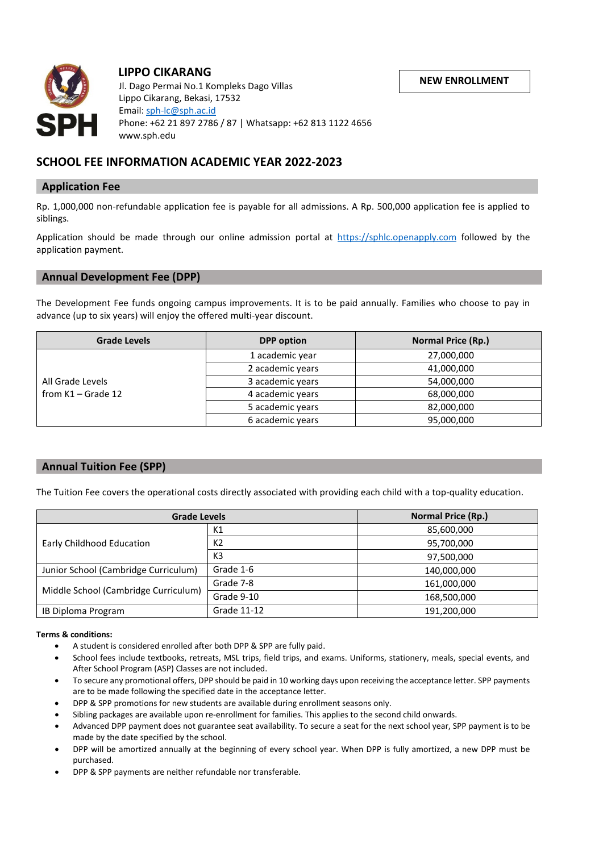**NEW ENROLLMENT**



# **LIPPO CIKARANG**

 Jl. Dago Permai No.1 Kompleks Dago Villas Lippo Cikarang, Bekasi, 17532 Email[: sph-lc@sph.ac.id](mailto:sph-lc@sph.ac.id) Phone: +62 21 897 2786 / 87 | Whatsapp: +62 813 1122 4656 www.sph.edu

# **SCHOOL FEE INFORMATION ACADEMIC YEAR 2022-2023**

#### **Application Fee**

Rp. 1,000,000 non-refundable application fee is payable for all admissions. A Rp. 500,000 application fee is applied to siblings.

Application should be made through our online admission portal at [https://sphlc.openapply.com](https://sphlc.openapply.com/) followed by the application payment.

## **Annual Development Fee (DPP)**

The Development Fee funds ongoing campus improvements. It is to be paid annually. Families who choose to pay in advance (up to six years) will enjoy the offered multi-year discount.

| <b>Grade Levels</b>                      | <b>DPP</b> option | <b>Normal Price (Rp.)</b> |
|------------------------------------------|-------------------|---------------------------|
| All Grade Levels<br>from $K1 -$ Grade 12 | 1 academic year   | 27,000,000                |
|                                          | 2 academic years  | 41,000,000                |
|                                          | 3 academic years  | 54,000,000                |
|                                          | 4 academic years  | 68,000,000                |
|                                          | 5 academic years  | 82,000,000                |
|                                          | 6 academic years  | 95,000,000                |

## **Annual Tuition Fee (SPP)**

The Tuition Fee covers the operational costs directly associated with providing each child with a top-quality education.

| <b>Grade Levels</b>                  |                | <b>Normal Price (Rp.)</b> |
|--------------------------------------|----------------|---------------------------|
| Early Childhood Education            | К1             | 85,600,000                |
|                                      | K2             | 95,700,000                |
|                                      | K <sub>3</sub> | 97,500,000                |
| Junior School (Cambridge Curriculum) | Grade 1-6      | 140,000,000               |
| Middle School (Cambridge Curriculum) | Grade 7-8      | 161,000,000               |
|                                      | Grade 9-10     | 168,500,000               |
| IB Diploma Program                   | Grade 11-12    | 191,200,000               |

#### **Terms & conditions:**

- A student is considered enrolled after both DPP & SPP are fully paid.
- School fees include textbooks, retreats, MSL trips, field trips, and exams. Uniforms, stationery, meals, special events, and After School Program (ASP) Classes are not included.
- To secure any promotional offers, DPP should be paid in 10 working days upon receiving the acceptance letter. SPP payments are to be made following the specified date in the acceptance letter.
- DPP & SPP promotions for new students are available during enrollment seasons only.
- Sibling packages are available upon re-enrollment for families. This applies to the second child onwards.
- Advanced DPP payment does not guarantee seat availability. To secure a seat for the next school year, SPP payment is to be made by the date specified by the school.
- DPP will be amortized annually at the beginning of every school year. When DPP is fully amortized, a new DPP must be purchased.
- DPP & SPP payments are neither refundable nor transferable.